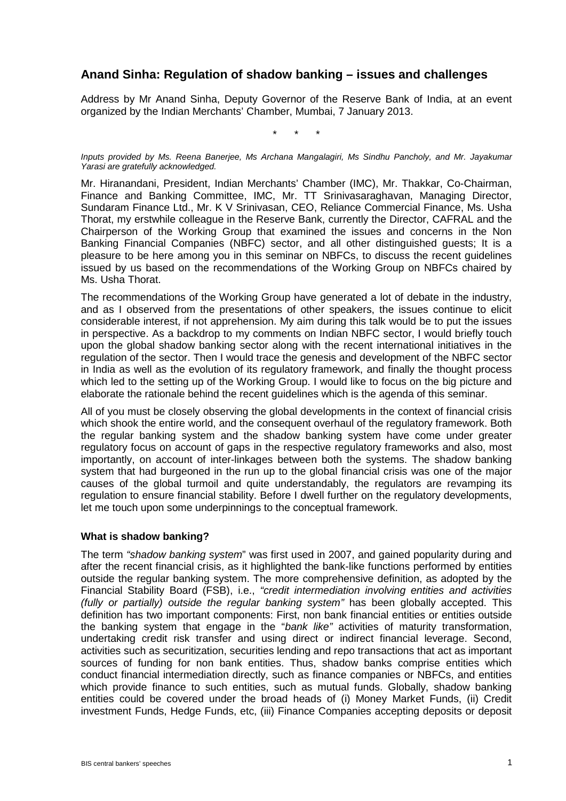# **Anand Sinha: Regulation of shadow banking – issues and challenges**

Address by Mr Anand Sinha, Deputy Governor of the Reserve Bank of India, at an event organized by the Indian Merchants' Chamber, Mumbai, 7 January 2013.

\* \* \*

*Inputs provided by Ms. Reena Banerjee, Ms Archana Mangalagiri, Ms Sindhu Pancholy, and Mr. Jayakumar Yarasi are gratefully acknowledged.*

Mr. Hiranandani, President, Indian Merchants' Chamber (IMC), Mr. Thakkar, Co-Chairman, Finance and Banking Committee, IMC, Mr. TT Srinivasaraghavan, Managing Director, Sundaram Finance Ltd., Mr. K V Srinivasan, CEO, Reliance Commercial Finance, Ms. Usha Thorat, my erstwhile colleague in the Reserve Bank, currently the Director, CAFRAL and the Chairperson of the Working Group that examined the issues and concerns in the Non Banking Financial Companies (NBFC) sector, and all other distinguished guests; It is a pleasure to be here among you in this seminar on NBFCs, to discuss the recent guidelines issued by us based on the recommendations of the Working Group on NBFCs chaired by Ms. Usha Thorat.

The recommendations of the Working Group have generated a lot of debate in the industry, and as I observed from the presentations of other speakers, the issues continue to elicit considerable interest, if not apprehension. My aim during this talk would be to put the issues in perspective. As a backdrop to my comments on Indian NBFC sector, I would briefly touch upon the global shadow banking sector along with the recent international initiatives in the regulation of the sector. Then I would trace the genesis and development of the NBFC sector in India as well as the evolution of its regulatory framework, and finally the thought process which led to the setting up of the Working Group. I would like to focus on the big picture and elaborate the rationale behind the recent guidelines which is the agenda of this seminar.

All of you must be closely observing the global developments in the context of financial crisis which shook the entire world, and the consequent overhaul of the regulatory framework. Both the regular banking system and the shadow banking system have come under greater regulatory focus on account of gaps in the respective regulatory frameworks and also, most importantly, on account of inter-linkages between both the systems. The shadow banking system that had burgeoned in the run up to the global financial crisis was one of the major causes of the global turmoil and quite understandably, the regulators are revamping its regulation to ensure financial stability. Before I dwell further on the regulatory developments, let me touch upon some underpinnings to the conceptual framework.

#### **What is shadow banking?**

The term *"shadow banking system*" was first used in 2007, and gained popularity during and after the recent financial crisis, as it highlighted the bank-like functions performed by entities outside the regular banking system. The more comprehensive definition, as adopted by the Financial Stability Board (FSB), i.e., *"credit intermediation involving entities and activities (fully or partially) outside the regular banking system"* has been globally accepted. This definition has two important components: First, non bank financial entities or entities outside the banking system that engage in the "*bank like"* activities of maturity transformation, undertaking credit risk transfer and using direct or indirect financial leverage. Second, activities such as securitization, securities lending and repo transactions that act as important sources of funding for non bank entities. Thus, shadow banks comprise entities which conduct financial intermediation directly, such as finance companies or NBFCs, and entities which provide finance to such entities, such as mutual funds. Globally, shadow banking entities could be covered under the broad heads of (i) Money Market Funds, (ii) Credit investment Funds, Hedge Funds, etc, (iii) Finance Companies accepting deposits or deposit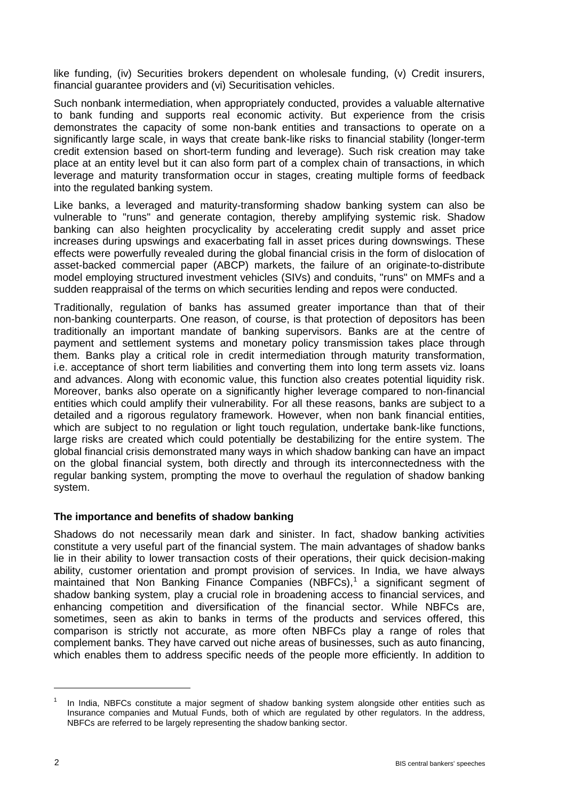like funding, (iv) Securities brokers dependent on wholesale funding, (v) Credit insurers, financial guarantee providers and (vi) Securitisation vehicles.

Such nonbank intermediation, when appropriately conducted, provides a valuable alternative to bank funding and supports real economic activity. But experience from the crisis demonstrates the capacity of some non-bank entities and transactions to operate on a significantly large scale, in ways that create bank-like risks to financial stability (longer-term credit extension based on short-term funding and leverage). Such risk creation may take place at an entity level but it can also form part of a complex chain of transactions, in which leverage and maturity transformation occur in stages, creating multiple forms of feedback into the regulated banking system.

Like banks, a leveraged and maturity-transforming shadow banking system can also be vulnerable to "runs" and generate contagion, thereby amplifying systemic risk. Shadow banking can also heighten procyclicality by accelerating credit supply and asset price increases during upswings and exacerbating fall in asset prices during downswings. These effects were powerfully revealed during the global financial crisis in the form of dislocation of asset-backed commercial paper (ABCP) markets, the failure of an originate-to-distribute model employing structured investment vehicles (SIVs) and conduits, "runs" on MMFs and a sudden reappraisal of the terms on which securities lending and repos were conducted.

Traditionally, regulation of banks has assumed greater importance than that of their non-banking counterparts. One reason, of course, is that protection of depositors has been traditionally an important mandate of banking supervisors. Banks are at the centre of payment and settlement systems and monetary policy transmission takes place through them. Banks play a critical role in credit intermediation through maturity transformation, i.e. acceptance of short term liabilities and converting them into long term assets viz. loans and advances. Along with economic value, this function also creates potential liquidity risk. Moreover, banks also operate on a significantly higher leverage compared to non-financial entities which could amplify their vulnerability. For all these reasons, banks are subject to a detailed and a rigorous regulatory framework. However, when non bank financial entities, which are subject to no regulation or light touch regulation, undertake bank-like functions, large risks are created which could potentially be destabilizing for the entire system. The global financial crisis demonstrated many ways in which shadow banking can have an impact on the global financial system, both directly and through its interconnectedness with the regular banking system, prompting the move to overhaul the regulation of shadow banking system.

### **The importance and benefits of shadow banking**

Shadows do not necessarily mean dark and sinister. In fact, shadow banking activities constitute a very useful part of the financial system. The main advantages of shadow banks lie in their ability to lower transaction costs of their operations, their quick decision-making ability, customer orientation and prompt provision of services. In India, we have always maintained that Non Banking Finance Companies (NBFCs),<sup>[1](#page-1-0)</sup> a significant segment of shadow banking system, play a crucial role in broadening access to financial services, and enhancing competition and diversification of the financial sector. While NBFCs are, sometimes, seen as akin to banks in terms of the products and services offered, this comparison is strictly not accurate, as more often NBFCs play a range of roles that complement banks. They have carved out niche areas of businesses, such as auto financing, which enables them to address specific needs of the people more efficiently. In addition to

-

<span id="page-1-0"></span>In India, NBFCs constitute a major segment of shadow banking system alongside other entities such as Insurance companies and Mutual Funds, both of which are regulated by other regulators. In the address, NBFCs are referred to be largely representing the shadow banking sector.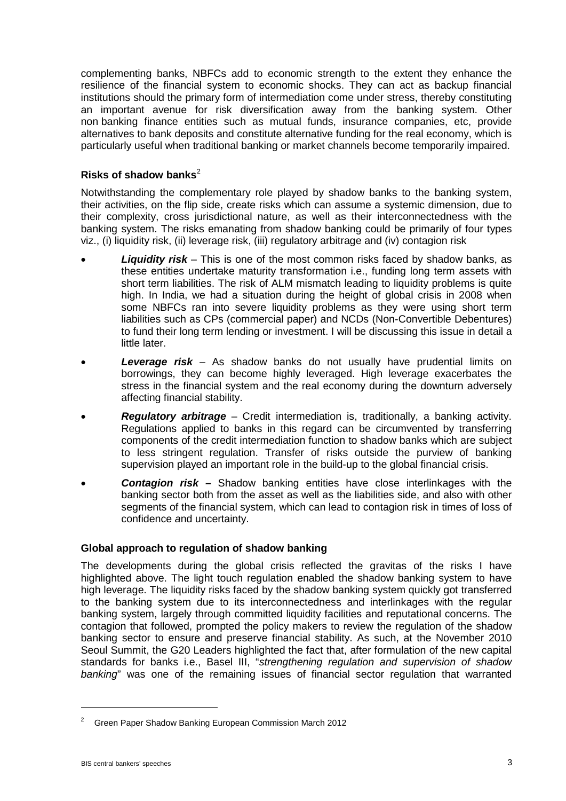complementing banks, NBFCs add to economic strength to the extent they enhance the resilience of the financial system to economic shocks. They can act as backup financial institutions should the primary form of intermediation come under stress, thereby constituting an important avenue for risk diversification away from the banking system. Other non banking finance entities such as mutual funds, insurance companies, etc, provide alternatives to bank deposits and constitute alternative funding for the real economy, which is particularly useful when traditional banking or market channels become temporarily impaired.

# **Risks of shadow banks**[2](#page-2-0)

Notwithstanding the complementary role played by shadow banks to the banking system, their activities, on the flip side, create risks which can assume a systemic dimension, due to their complexity, cross jurisdictional nature, as well as their interconnectedness with the banking system. The risks emanating from shadow banking could be primarily of four types viz., (i) liquidity risk, (ii) leverage risk, (iii) regulatory arbitrage and (iv) contagion risk

- *Liquidity risk* This is one of the most common risks faced by shadow banks, as these entities undertake maturity transformation i.e., funding long term assets with short term liabilities. The risk of ALM mismatch leading to liquidity problems is quite high. In India, we had a situation during the height of global crisis in 2008 when some NBFCs ran into severe liquidity problems as they were using short term liabilities such as CPs (commercial paper) and NCDs (Non-Convertible Debentures) to fund their long term lending or investment. I will be discussing this issue in detail a little later.
- *Leverage risk* As shadow banks do not usually have prudential limits on borrowings, they can become highly leveraged. High leverage exacerbates the stress in the financial system and the real economy during the downturn adversely affecting financial stability.
- *Regulatory arbitrage* Credit intermediation is, traditionally, a banking activity. Regulations applied to banks in this regard can be circumvented by transferring components of the credit intermediation function to shadow banks which are subject to less stringent regulation. Transfer of risks outside the purview of banking supervision played an important role in the build-up to the global financial crisis.
- *Contagion risk –* Shadow banking entities have close interlinkages with the banking sector both from the asset as well as the liabilities side, and also with other segments of the financial system, which can lead to contagion risk in times of loss of confidence *a*nd uncertainty.

### **Global approach to regulation of shadow banking**

The developments during the global crisis reflected the gravitas of the risks I have highlighted above. The light touch regulation enabled the shadow banking system to have high leverage. The liquidity risks faced by the shadow banking system quickly got transferred to the banking system due to its interconnectedness and interlinkages with the regular banking system, largely through committed liquidity facilities and reputational concerns. The contagion that followed, prompted the policy makers to review the regulation of the shadow banking sector to ensure and preserve financial stability. As such, at the November 2010 Seoul Summit, the G20 Leaders highlighted the fact that, after formulation of the new capital standards for banks i.e., Basel III, "*strengthening regulation and supervision of shadow banking*" was one of the remaining issues of financial sector regulation that warranted

<u>.</u>

<span id="page-2-0"></span><sup>2</sup> Green Paper Shadow Banking European Commission March 2012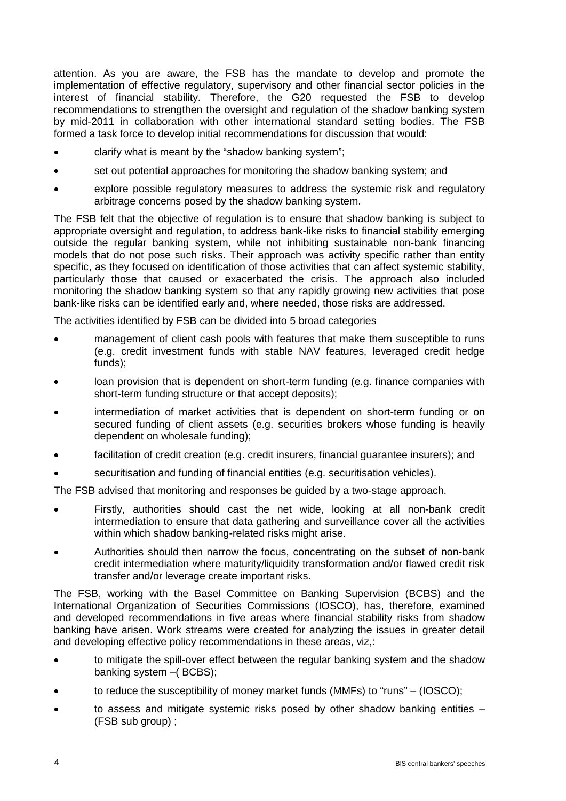attention. As you are aware, the FSB has the mandate to develop and promote the implementation of effective regulatory, supervisory and other financial sector policies in the interest of financial stability. Therefore, the G20 requested the FSB to develop recommendations to strengthen the oversight and regulation of the shadow banking system by mid-2011 in collaboration with other international standard setting bodies. The FSB formed a task force to develop initial recommendations for discussion that would:

- clarify what is meant by the "shadow banking system";
- set out potential approaches for monitoring the shadow banking system; and
- explore possible regulatory measures to address the systemic risk and regulatory arbitrage concerns posed by the shadow banking system.

The FSB felt that the objective of regulation is to ensure that shadow banking is subject to appropriate oversight and regulation, to address bank-like risks to financial stability emerging outside the regular banking system, while not inhibiting sustainable non-bank financing models that do not pose such risks. Their approach was activity specific rather than entity specific, as they focused on identification of those activities that can affect systemic stability, particularly those that caused or exacerbated the crisis. The approach also included monitoring the shadow banking system so that any rapidly growing new activities that pose bank-like risks can be identified early and, where needed, those risks are addressed.

The activities identified by FSB can be divided into 5 broad categories

- management of client cash pools with features that make them susceptible to runs (e.g. credit investment funds with stable NAV features, leveraged credit hedge funds);
- loan provision that is dependent on short-term funding (e.g. finance companies with short-term funding structure or that accept deposits);
- intermediation of market activities that is dependent on short-term funding or on secured funding of client assets (e.g. securities brokers whose funding is heavily dependent on wholesale funding);
- facilitation of credit creation (e.g. credit insurers, financial guarantee insurers); and
- securitisation and funding of financial entities (e.g. securitisation vehicles).

The FSB advised that monitoring and responses be guided by a two-stage approach.

- Firstly, authorities should cast the net wide, looking at all non-bank credit intermediation to ensure that data gathering and surveillance cover all the activities within which shadow banking-related risks might arise.
- Authorities should then narrow the focus, concentrating on the subset of non-bank credit intermediation where maturity/liquidity transformation and/or flawed credit risk transfer and/or leverage create important risks.

The FSB, working with the Basel Committee on Banking Supervision (BCBS) and the International Organization of Securities Commissions (IOSCO), has, therefore, examined and developed recommendations in five areas where financial stability risks from shadow banking have arisen. Work streams were created for analyzing the issues in greater detail and developing effective policy recommendations in these areas, viz,:

- to mitigate the spill-over effect between the regular banking system and the shadow banking system –( BCBS);
- to reduce the susceptibility of money market funds (MMFs) to "runs" (IOSCO);
- to assess and mitigate systemic risks posed by other shadow banking entities (FSB sub group) ;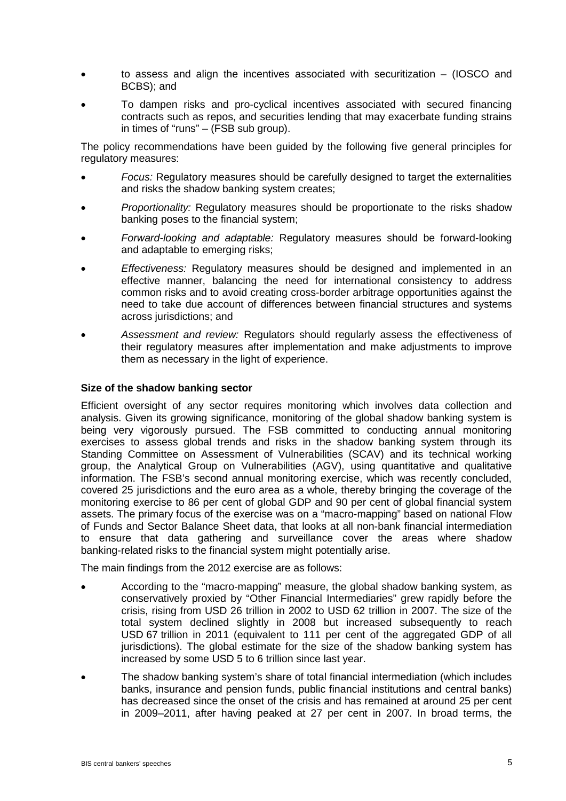- to assess and align the incentives associated with securitization (IOSCO and BCBS); and
- To dampen risks and pro-cyclical incentives associated with secured financing contracts such as repos, and securities lending that may exacerbate funding strains in times of "runs" – (FSB sub group).

The policy recommendations have been guided by the following five general principles for regulatory measures:

- *Focus:* Regulatory measures should be carefully designed to target the externalities and risks the shadow banking system creates;
- *Proportionality:* Regulatory measures should be proportionate to the risks shadow banking poses to the financial system;
- *Forward-looking and adaptable:* Regulatory measures should be forward-looking and adaptable to emerging risks;
- *Effectiveness:* Regulatory measures should be designed and implemented in an effective manner, balancing the need for international consistency to address common risks and to avoid creating cross-border arbitrage opportunities against the need to take due account of differences between financial structures and systems across jurisdictions; and
- *Assessment and review:* Regulators should regularly assess the effectiveness of their regulatory measures after implementation and make adjustments to improve them as necessary in the light of experience.

### **Size of the shadow banking sector**

Efficient oversight of any sector requires monitoring which involves data collection and analysis. Given its growing significance, monitoring of the global shadow banking system is being very vigorously pursued. The FSB committed to conducting annual monitoring exercises to assess global trends and risks in the shadow banking system through its Standing Committee on Assessment of Vulnerabilities (SCAV) and its technical working group, the Analytical Group on Vulnerabilities (AGV), using quantitative and qualitative information. The FSB's second annual monitoring exercise, which was recently concluded, covered 25 jurisdictions and the euro area as a whole, thereby bringing the coverage of the monitoring exercise to 86 per cent of global GDP and 90 per cent of global financial system assets. The primary focus of the exercise was on a "macro-mapping" based on national Flow of Funds and Sector Balance Sheet data, that looks at all non-bank financial intermediation to ensure that data gathering and surveillance cover the areas where shadow banking-related risks to the financial system might potentially arise.

The main findings from the 2012 exercise are as follows:

- According to the "macro-mapping" measure, the global shadow banking system, as conservatively proxied by "Other Financial Intermediaries" grew rapidly before the crisis, rising from USD 26 trillion in 2002 to USD 62 trillion in 2007. The size of the total system declined slightly in 2008 but increased subsequently to reach USD 67 trillion in 2011 (equivalent to 111 per cent of the aggregated GDP of all jurisdictions). The global estimate for the size of the shadow banking system has increased by some USD 5 to 6 trillion since last year.
- The shadow banking system's share of total financial intermediation (which includes banks, insurance and pension funds, public financial institutions and central banks) has decreased since the onset of the crisis and has remained at around 25 per cent in 2009–2011, after having peaked at 27 per cent in 2007. In broad terms, the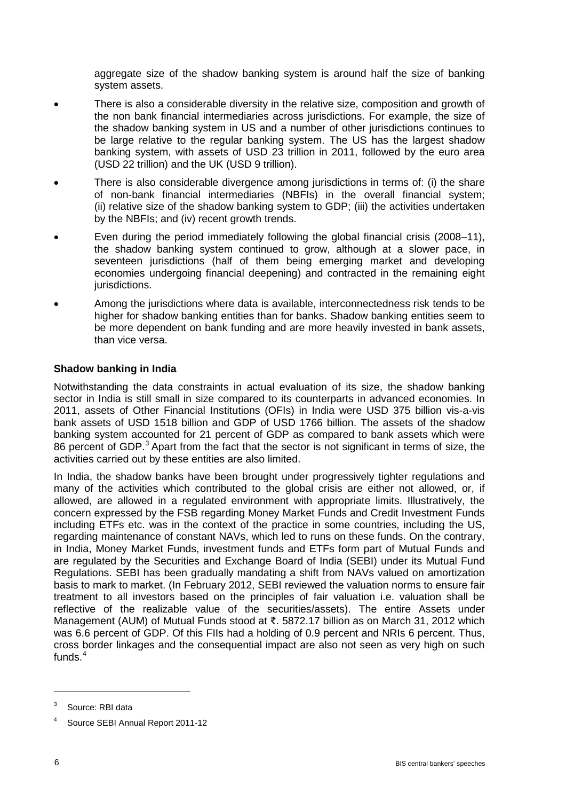aggregate size of the shadow banking system is around half the size of banking system assets.

- There is also a considerable diversity in the relative size, composition and growth of the non bank financial intermediaries across jurisdictions. For example, the size of the shadow banking system in US and a number of other jurisdictions continues to be large relative to the regular banking system. The US has the largest shadow banking system, with assets of USD 23 trillion in 2011, followed by the euro area (USD 22 trillion) and the UK (USD 9 trillion).
- There is also considerable divergence among jurisdictions in terms of: (i) the share of non-bank financial intermediaries (NBFIs) in the overall financial system; (ii) relative size of the shadow banking system to GDP; (iii) the activities undertaken by the NBFIs; and (iv) recent growth trends.
- Even during the period immediately following the global financial crisis (2008–11), the shadow banking system continued to grow, although at a slower pace, in seventeen jurisdictions (half of them being emerging market and developing economies undergoing financial deepening) and contracted in the remaining eight jurisdictions.
- Among the jurisdictions where data is available, interconnectedness risk tends to be higher for shadow banking entities than for banks. Shadow banking entities seem to be more dependent on bank funding and are more heavily invested in bank assets, than vice versa.

### **Shadow banking in India**

Notwithstanding the data constraints in actual evaluation of its size, the shadow banking sector in India is still small in size compared to its counterparts in advanced economies. In 2011, assets of Other Financial Institutions (OFIs) in India were USD 375 billion vis-a-vis bank assets of USD 1518 billion and GDP of USD 1766 billion. The assets of the shadow banking system accounted for 21 percent of GDP as compared to bank assets which were 86 percent of GDP.<sup>[3](#page-5-0)</sup> Apart from the fact that the sector is not significant in terms of size, the activities carried out by these entities are also limited.

In India, the shadow banks have been brought under progressively tighter regulations and many of the activities which contributed to the global crisis are either not allowed, or, if allowed, are allowed in a regulated environment with appropriate limits. Illustratively, the concern expressed by the FSB regarding Money Market Funds and Credit Investment Funds including ETFs etc. was in the context of the practice in some countries, including the US, regarding maintenance of constant NAVs, which led to runs on these funds. On the contrary, in India, Money Market Funds, investment funds and ETFs form part of Mutual Funds and are regulated by the Securities and Exchange Board of India (SEBI) under its Mutual Fund Regulations. SEBI has been gradually mandating a shift from NAVs valued on amortization basis to mark to market. (In February 2012, SEBI reviewed the valuation norms to ensure fair treatment to all investors based on the principles of fair valuation i.e. valuation shall be reflective of the realizable value of the securities/assets). The entire Assets under Management (AUM) of Mutual Funds stood at ₹. 5872.17 billion as on March 31, 2012 which was 6.6 percent of GDP. Of this FIIs had a holding of 0.9 percent and NRIs 6 percent. Thus, cross border linkages and the consequential impact are also not seen as very high on such funds.<sup>[4](#page-5-1)</sup>

-

<span id="page-5-0"></span>Source: RBI data

<span id="page-5-1"></span>Source SEBI Annual Report 2011-12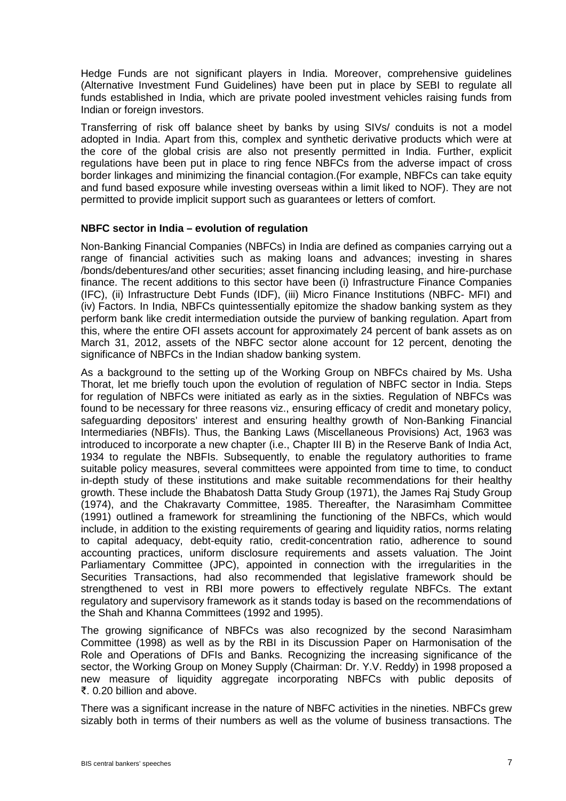Hedge Funds are not significant players in India. Moreover, comprehensive guidelines (Alternative Investment Fund Guidelines) have been put in place by SEBI to regulate all funds established in India, which are private pooled investment vehicles raising funds from Indian or foreign investors.

Transferring of risk off balance sheet by banks by using SIVs/ conduits is not a model adopted in India. Apart from this, complex and synthetic derivative products which were at the core of the global crisis are also not presently permitted in India. Further, explicit regulations have been put in place to ring fence NBFCs from the adverse impact of cross border linkages and minimizing the financial contagion.(For example, NBFCs can take equity and fund based exposure while investing overseas within a limit liked to NOF). They are not permitted to provide implicit support such as guarantees or letters of comfort.

### **NBFC sector in India – evolution of regulation**

Non-Banking Financial Companies (NBFCs) in India are defined as companies carrying out a range of financial activities such as making loans and advances; investing in shares /bonds/debentures/and other securities; asset financing including leasing, and hire-purchase finance. The recent additions to this sector have been (i) Infrastructure Finance Companies (IFC), (ii) Infrastructure Debt Funds (IDF), (iii) Micro Finance Institutions (NBFC- MFI) and (iv) Factors. In India, NBFCs quintessentially epitomize the shadow banking system as they perform bank like credit intermediation outside the purview of banking regulation. Apart from this, where the entire OFI assets account for approximately 24 percent of bank assets as on March 31, 2012, assets of the NBFC sector alone account for 12 percent, denoting the significance of NBFCs in the Indian shadow banking system.

As a background to the setting up of the Working Group on NBFCs chaired by Ms. Usha Thorat, let me briefly touch upon the evolution of regulation of NBFC sector in India. Steps for regulation of NBFCs were initiated as early as in the sixties. Regulation of NBFCs was found to be necessary for three reasons viz., ensuring efficacy of credit and monetary policy, safeguarding depositors' interest and ensuring healthy growth of Non-Banking Financial Intermediaries (NBFIs). Thus, the Banking Laws (Miscellaneous Provisions) Act, 1963 was introduced to incorporate a new chapter (i.e., Chapter III B) in the Reserve Bank of India Act, 1934 to regulate the NBFIs. Subsequently, to enable the regulatory authorities to frame suitable policy measures, several committees were appointed from time to time, to conduct in-depth study of these institutions and make suitable recommendations for their healthy growth. These include the Bhabatosh Datta Study Group (1971), the James Raj Study Group (1974), and the Chakravarty Committee, 1985. Thereafter, the Narasimham Committee (1991) outlined a framework for streamlining the functioning of the NBFCs, which would include, in addition to the existing requirements of gearing and liquidity ratios, norms relating to capital adequacy, debt-equity ratio, credit-concentration ratio, adherence to sound accounting practices, uniform disclosure requirements and assets valuation. The Joint Parliamentary Committee (JPC), appointed in connection with the irregularities in the Securities Transactions, had also recommended that legislative framework should be strengthened to vest in RBI more powers to effectively regulate NBFCs. The extant regulatory and supervisory framework as it stands today is based on the recommendations of the Shah and Khanna Committees (1992 and 1995).

The growing significance of NBFCs was also recognized by the second Narasimham Committee (1998) as well as by the RBI in its Discussion Paper on Harmonisation of the Role and Operations of DFIs and Banks. Recognizing the increasing significance of the sector, the Working Group on Money Supply (Chairman: Dr. Y.V. Reddy) in 1998 proposed a new measure of liquidity aggregate incorporating NBFCs with public deposits of ₹. 0.20 billion and above.

There was a significant increase in the nature of NBFC activities in the nineties. NBFCs grew sizably both in terms of their numbers as well as the volume of business transactions. The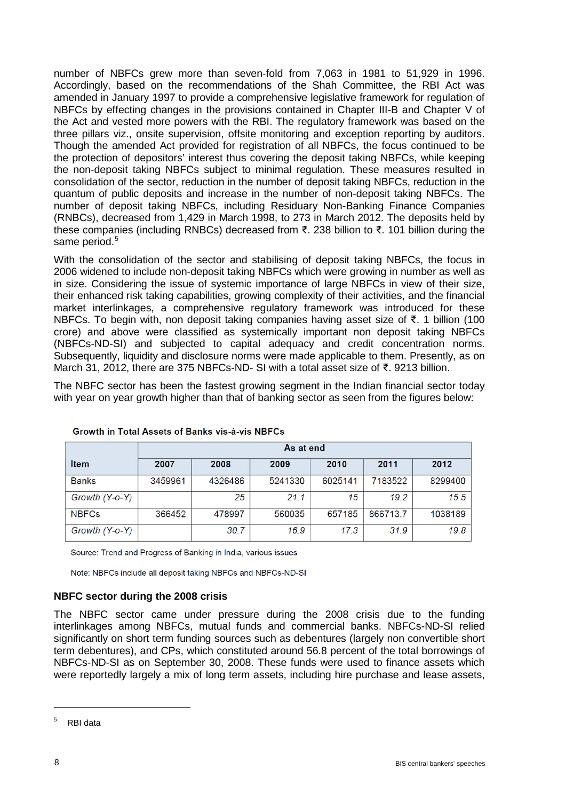number of NBFCs grew more than seven-fold from 7,063 in 1981 to 51,929 in 1996. Accordingly, based on the recommendations of the Shah Committee, the RBI Act was amended in January 1997 to provide a comprehensive legislative framework for regulation of NBFCs by effecting changes in the provisions contained in Chapter III-B and Chapter V of the Act and vested more powers with the RBI. The regulatory framework was based on the three pillars viz., onsite supervision, offsite monitoring and exception reporting by auditors. Though the amended Act provided for registration of all NBFCs, the focus continued to be the protection of depositors' interest thus covering the deposit taking NBFCs, while keeping the non-deposit taking NBFCs subject to minimal regulation. These measures resulted in consolidation of the sector, reduction in the number of deposit taking NBFCs, reduction in the quantum of public deposits and increase in the number of non-deposit taking NBFCs. The number of deposit taking NBFCs, including Residuary Non-Banking Finance Companies (RNBCs), decreased from 1,429 in March 1998, to 273 in March 2012. The deposits held by these companies (including RNBCs) decreased from ₹. 238 billion to ₹. 101 billion during the same period.<sup>[5](#page-7-0)</sup>

With the consolidation of the sector and stabilising of deposit taking NBFCs, the focus in 2006 widened to include non-deposit taking NBFCs which were growing in number as well as in size. Considering the issue of systemic importance of large NBFCs in view of their size, their enhanced risk taking capabilities, growing complexity of their activities, and the financial market interlinkages, a comprehensive regulatory framework was introduced for these NBFCs. To begin with, non deposit taking companies having asset size of ₹. 1 billion (100 crore) and above were classified as systemically important non deposit taking NBFCs (NBFCs-ND-SI) and subjected to capital adequacy and credit concentration norms. Subsequently, liquidity and disclosure norms were made applicable to them. Presently, as on March 31, 2012, there are 375 NBFCs-ND- SI with a total asset size of ₹. 9213 billion.

The NBFC sector has been the fastest growing segment in the Indian financial sector today with year on year growth higher than that of banking sector as seen from the figures below:

|                | As at end |         |         |         |          |         |
|----------------|-----------|---------|---------|---------|----------|---------|
| <b>Item</b>    | 2007      | 2008    | 2009    | 2010    | 2011     | 2012    |
| <b>Banks</b>   | 3459961   | 4326486 | 5241330 | 6025141 | 7183522  | 8299400 |
| Growth (Y-o-Y) |           | 25      | 21.1    | 15      | 19.2     | 15.5    |
| <b>NBFCs</b>   | 366452    | 478997  | 560035  | 657185  | 866713.7 | 1038189 |
| Growth (Y-o-Y) |           | 30.7    | 16.9    | 17.3    | 31.9     | 19.8    |

Growth in Total Assets of Banks vis-à-vis NBFCs

Source: Trend and Progress of Banking in India, various issues

Note: NBFCs include all deposit taking NBFCs and NBFCs-ND-SI

### **NBFC sector during the 2008 crisis**

The NBFC sector came under pressure during the 2008 crisis due to the funding interlinkages among NBFCs, mutual funds and commercial banks. NBFCs-ND-SI relied significantly on short term funding sources such as debentures (largely non convertible short term debentures), and CPs, which constituted around 56.8 percent of the total borrowings of NBFCs-ND-SI as on September 30, 2008. These funds were used to finance assets which were reportedly largely a mix of long term assets, including hire purchase and lease assets,

-

<span id="page-7-0"></span><sup>5</sup> RBI data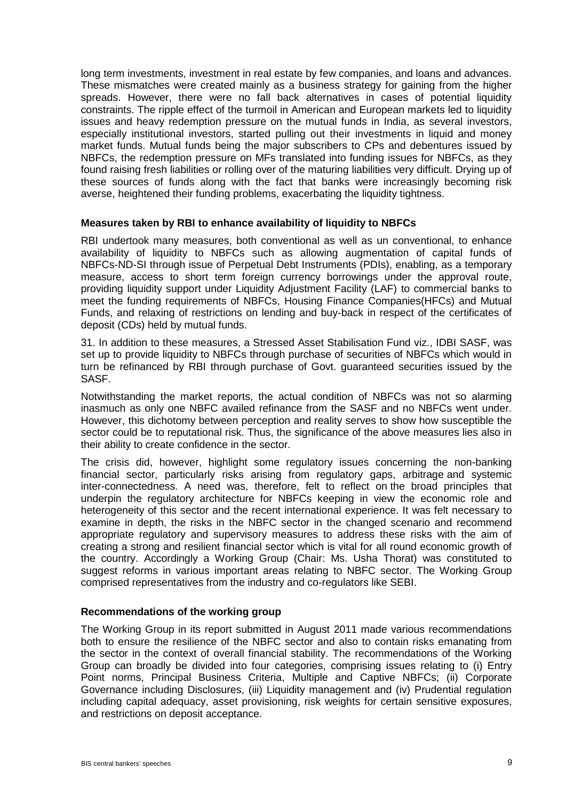long term investments, investment in real estate by few companies, and loans and advances. These mismatches were created mainly as a business strategy for gaining from the higher spreads. However, there were no fall back alternatives in cases of potential liquidity constraints. The ripple effect of the turmoil in American and European markets led to liquidity issues and heavy redemption pressure on the mutual funds in India, as several investors, especially institutional investors, started pulling out their investments in liquid and money market funds. Mutual funds being the major subscribers to CPs and debentures issued by NBFCs, the redemption pressure on MFs translated into funding issues for NBFCs, as they found raising fresh liabilities or rolling over of the maturing liabilities very difficult. Drying up of these sources of funds along with the fact that banks were increasingly becoming risk averse, heightened their funding problems, exacerbating the liquidity tightness.

#### **Measures taken by RBI to enhance availability of liquidity to NBFCs**

RBI undertook many measures, both conventional as well as un conventional, to enhance availability of liquidity to NBFCs such as allowing augmentation of capital funds of NBFCs-ND-SI through issue of Perpetual Debt Instruments (PDIs), enabling, as a temporary measure, access to short term foreign currency borrowings under the approval route, providing liquidity support under Liquidity Adjustment Facility (LAF) to commercial banks to meet the funding requirements of NBFCs, Housing Finance Companies(HFCs) and Mutual Funds, and relaxing of restrictions on lending and buy-back in respect of the certificates of deposit (CDs) held by mutual funds.

31. In addition to these measures, a Stressed Asset Stabilisation Fund viz., IDBI SASF, was set up to provide liquidity to NBFCs through purchase of securities of NBFCs which would in turn be refinanced by RBI through purchase of Govt. guaranteed securities issued by the SASF.

Notwithstanding the market reports, the actual condition of NBFCs was not so alarming inasmuch as only one NBFC availed refinance from the SASF and no NBFCs went under. However, this dichotomy between perception and reality serves to show how susceptible the sector could be to reputational risk. Thus, the significance of the above measures lies also in their ability to create confidence in the sector.

The crisis did, however, highlight some regulatory issues concerning the non-banking financial sector, particularly risks arising from regulatory gaps, arbitrage and systemic inter-connectedness. A need was, therefore, felt to reflect on the broad principles that underpin the regulatory architecture for NBFCs keeping in view the economic role and heterogeneity of this sector and the recent international experience. It was felt necessary to examine in depth, the risks in the NBFC sector in the changed scenario and recommend appropriate regulatory and supervisory measures to address these risks with the aim of creating a strong and resilient financial sector which is vital for all round economic growth of the country. Accordingly a Working Group (Chair: Ms. Usha Thorat) was constituted to suggest reforms in various important areas relating to NBFC sector. The Working Group comprised representatives from the industry and co-regulators like SEBI.

#### **Recommendations of the working group**

The Working Group in its report submitted in August 2011 made various recommendations both to ensure the resilience of the NBFC sector and also to contain risks emanating from the sector in the context of overall financial stability. The recommendations of the Working Group can broadly be divided into four categories, comprising issues relating to (i) Entry Point norms, Principal Business Criteria, Multiple and Captive NBFCs; (ii) Corporate Governance including Disclosures, (iii) Liquidity management and (iv) Prudential regulation including capital adequacy, asset provisioning, risk weights for certain sensitive exposures, and restrictions on deposit acceptance.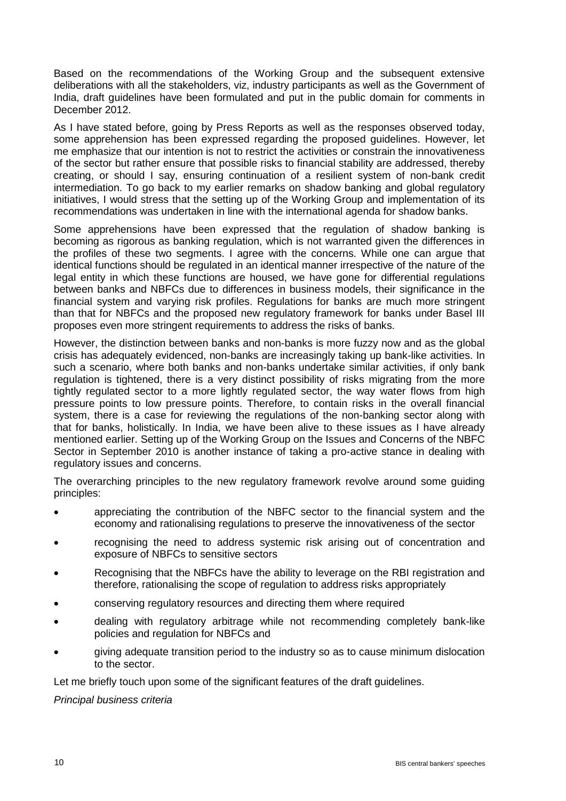Based on the recommendations of the Working Group and the subsequent extensive deliberations with all the stakeholders, viz, industry participants as well as the Government of India, draft guidelines have been formulated and put in the public domain for comments in December 2012.

As I have stated before, going by Press Reports as well as the responses observed today, some apprehension has been expressed regarding the proposed guidelines. However, let me emphasize that our intention is not to restrict the activities or constrain the innovativeness of the sector but rather ensure that possible risks to financial stability are addressed, thereby creating, or should I say, ensuring continuation of a resilient system of non-bank credit intermediation. To go back to my earlier remarks on shadow banking and global regulatory initiatives, I would stress that the setting up of the Working Group and implementation of its recommendations was undertaken in line with the international agenda for shadow banks.

Some apprehensions have been expressed that the regulation of shadow banking is becoming as rigorous as banking regulation, which is not warranted given the differences in the profiles of these two segments. I agree with the concerns. While one can argue that identical functions should be regulated in an identical manner irrespective of the nature of the legal entity in which these functions are housed, we have gone for differential regulations between banks and NBFCs due to differences in business models, their significance in the financial system and varying risk profiles. Regulations for banks are much more stringent than that for NBFCs and the proposed new regulatory framework for banks under Basel III proposes even more stringent requirements to address the risks of banks.

However, the distinction between banks and non-banks is more fuzzy now and as the global crisis has adequately evidenced, non-banks are increasingly taking up bank-like activities. In such a scenario, where both banks and non-banks undertake similar activities, if only bank regulation is tightened, there is a very distinct possibility of risks migrating from the more tightly regulated sector to a more lightly regulated sector, the way water flows from high pressure points to low pressure points. Therefore, to contain risks in the overall financial system, there is a case for reviewing the regulations of the non-banking sector along with that for banks, holistically. In India, we have been alive to these issues as I have already mentioned earlier. Setting up of the Working Group on the Issues and Concerns of the NBFC Sector in September 2010 is another instance of taking a pro-active stance in dealing with regulatory issues and concerns.

The overarching principles to the new regulatory framework revolve around some guiding principles:

- appreciating the contribution of the NBFC sector to the financial system and the economy and rationalising regulations to preserve the innovativeness of the sector
- recognising the need to address systemic risk arising out of concentration and exposure of NBFCs to sensitive sectors
- Recognising that the NBFCs have the ability to leverage on the RBI registration and therefore, rationalising the scope of regulation to address risks appropriately
- conserving regulatory resources and directing them where required
- dealing with regulatory arbitrage while not recommending completely bank-like policies and regulation for NBFCs and
- giving adequate transition period to the industry so as to cause minimum dislocation to the sector.

Let me briefly touch upon some of the significant features of the draft guidelines.

*Principal business criteria*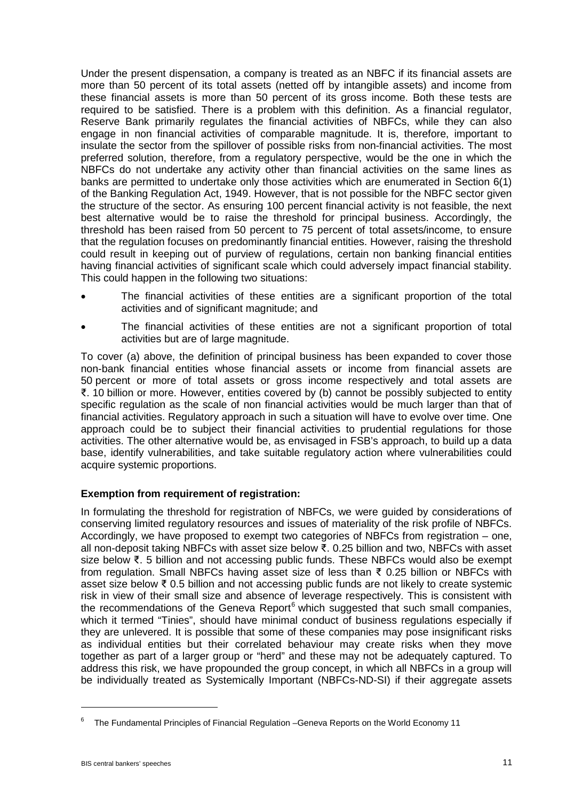Under the present dispensation, a company is treated as an NBFC if its financial assets are more than 50 percent of its total assets (netted off by intangible assets) and income from these financial assets is more than 50 percent of its gross income. Both these tests are required to be satisfied. There is a problem with this definition. As a financial regulator, Reserve Bank primarily regulates the financial activities of NBFCs, while they can also engage in non financial activities of comparable magnitude. It is, therefore, important to insulate the sector from the spillover of possible risks from non-financial activities. The most preferred solution, therefore, from a regulatory perspective, would be the one in which the NBFCs do not undertake any activity other than financial activities on the same lines as banks are permitted to undertake only those activities which are enumerated in Section 6(1) of the Banking Regulation Act, 1949. However, that is not possible for the NBFC sector given the structure of the sector. As ensuring 100 percent financial activity is not feasible, the next best alternative would be to raise the threshold for principal business. Accordingly, the threshold has been raised from 50 percent to 75 percent of total assets/income, to ensure that the regulation focuses on predominantly financial entities. However, raising the threshold could result in keeping out of purview of regulations, certain non banking financial entities having financial activities of significant scale which could adversely impact financial stability. This could happen in the following two situations:

- The financial activities of these entities are a significant proportion of the total activities and of significant magnitude; and
- The financial activities of these entities are not a significant proportion of total activities but are of large magnitude.

To cover (a) above, the definition of principal business has been expanded to cover those non-bank financial entities whose financial assets or income from financial assets are 50 percent or more of total assets or gross income respectively and total assets are ₹. 10 billion or more. However, entities covered by (b) cannot be possibly subjected to entity specific regulation as the scale of non financial activities would be much larger than that of financial activities. Regulatory approach in such a situation will have to evolve over time. One approach could be to subject their financial activities to prudential regulations for those activities. The other alternative would be, as envisaged in FSB's approach, to build up a data base, identify vulnerabilities, and take suitable regulatory action where vulnerabilities could acquire systemic proportions.

### **Exemption from requirement of registration:**

In formulating the threshold for registration of NBFCs, we were guided by considerations of conserving limited regulatory resources and issues of materiality of the risk profile of NBFCs. Accordingly, we have proposed to exempt two categories of NBFCs from registration – one, all non-deposit taking NBFCs with asset size below ₹. 0.25 billion and two, NBFCs with asset size below ₹. 5 billion and not accessing public funds. These NBFCs would also be exempt from regulation. Small NBFCs having asset size of less than ₹ 0.25 billion or NBFCs with asset size below ₹ 0.5 billion and not accessing public funds are not likely to create systemic risk in view of their small size and absence of leverage respectively. This is consistent with the recommendations of the Geneva Report $6$  which suggested that such small companies, which it termed "Tinies", should have minimal conduct of business regulations especially if they are unlevered. It is possible that some of these companies may pose insignificant risks as individual entities but their correlated behaviour may create risks when they move together as part of a larger group or "herd" and these may not be adequately captured. To address this risk, we have propounded the group concept, in which all NBFCs in a group will be individually treated as Systemically Important (NBFCs-ND-SI) if their aggregate assets

<u>.</u>

<span id="page-10-0"></span><sup>6</sup> The Fundamental Principles of Financial Regulation –Geneva Reports on the World Economy 11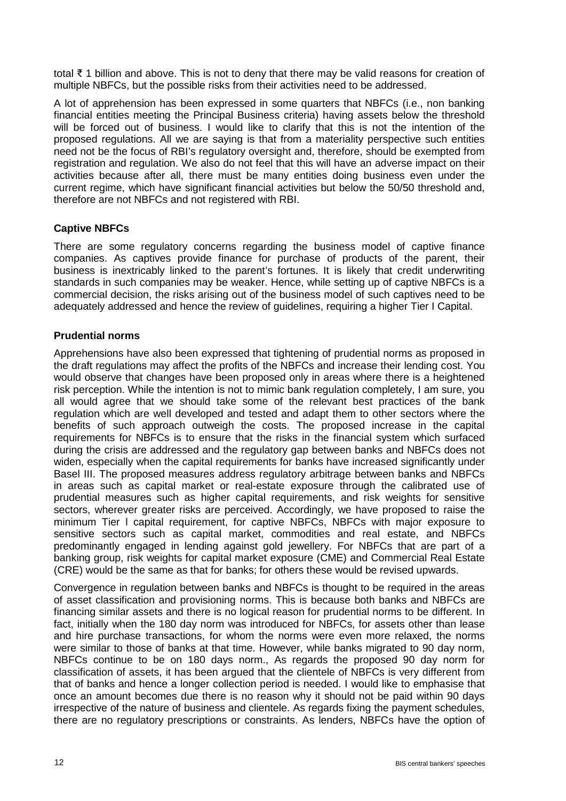total ₹ 1 billion and above. This is not to deny that there may be valid reasons for creation of multiple NBFCs, but the possible risks from their activities need to be addressed.

A lot of apprehension has been expressed in some quarters that NBFCs (i.e., non banking financial entities meeting the Principal Business criteria) having assets below the threshold will be forced out of business. I would like to clarify that this is not the intention of the proposed regulations. All we are saying is that from a materiality perspective such entities need not be the focus of RBI's regulatory oversight and, therefore, should be exempted from registration and regulation. We also do not feel that this will have an adverse impact on their activities because after all, there must be many entities doing business even under the current regime, which have significant financial activities but below the 50/50 threshold and, therefore are not NBFCs and not registered with RBI.

# **Captive NBFCs**

There are some regulatory concerns regarding the business model of captive finance companies. As captives provide finance for purchase of products of the parent, their business is inextricably linked to the parent's fortunes. It is likely that credit underwriting standards in such companies may be weaker. Hence, while setting up of captive NBFCs is a commercial decision, the risks arising out of the business model of such captives need to be adequately addressed and hence the review of guidelines, requiring a higher Tier I Capital.

### **Prudential norms**

Apprehensions have also been expressed that tightening of prudential norms as proposed in the draft regulations may affect the profits of the NBFCs and increase their lending cost. You would observe that changes have been proposed only in areas where there is a heightened risk perception. While the intention is not to mimic bank regulation completely, I am sure, you all would agree that we should take some of the relevant best practices of the bank regulation which are well developed and tested and adapt them to other sectors where the benefits of such approach outweigh the costs. The proposed increase in the capital requirements for NBFCs is to ensure that the risks in the financial system which surfaced during the crisis are addressed and the regulatory gap between banks and NBFCs does not widen, especially when the capital requirements for banks have increased significantly under Basel III. The proposed measures address regulatory arbitrage between banks and NBFCs in areas such as capital market or real-estate exposure through the calibrated use of prudential measures such as higher capital requirements, and risk weights for sensitive sectors, wherever greater risks are perceived. Accordingly, we have proposed to raise the minimum Tier l capital requirement, for captive NBFCs, NBFCs with major exposure to sensitive sectors such as capital market, commodities and real estate, and NBFCs predominantly engaged in lending against gold jewellery. For NBFCs that are part of a banking group, risk weights for capital market exposure (CME) and Commercial Real Estate (CRE) would be the same as that for banks; for others these would be revised upwards.

Convergence in regulation between banks and NBFCs is thought to be required in the areas of asset classification and provisioning norms. This is because both banks and NBFCs are financing similar assets and there is no logical reason for prudential norms to be different. In fact, initially when the 180 day norm was introduced for NBFCs, for assets other than lease and hire purchase transactions, for whom the norms were even more relaxed, the norms were similar to those of banks at that time. However, while banks migrated to 90 day norm, NBFCs continue to be on 180 days norm., As regards the proposed 90 day norm for classification of assets, it has been argued that the clientele of NBFCs is very different from that of banks and hence a longer collection period is needed. I would like to emphasise that once an amount becomes due there is no reason why it should not be paid within 90 days irrespective of the nature of business and clientele. As regards fixing the payment schedules, there are no regulatory prescriptions or constraints. As lenders, NBFCs have the option of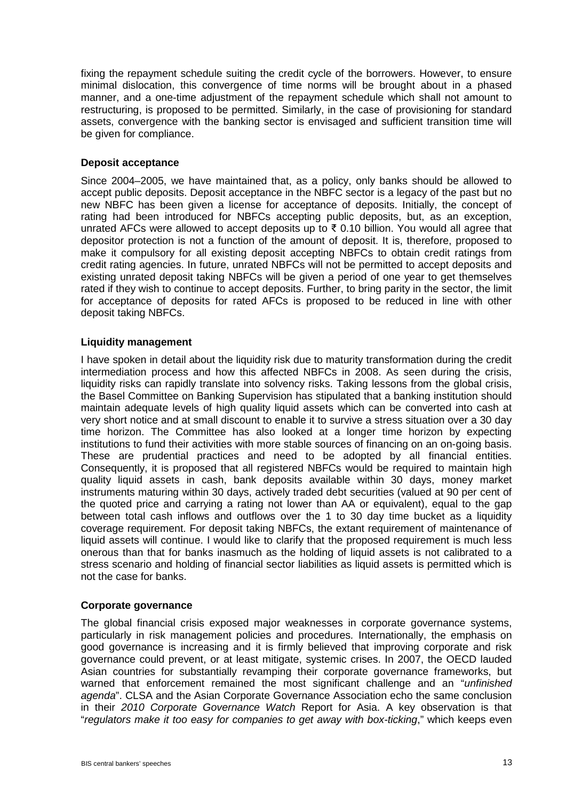fixing the repayment schedule suiting the credit cycle of the borrowers. However, to ensure minimal dislocation, this convergence of time norms will be brought about in a phased manner, and a one-time adjustment of the repayment schedule which shall not amount to restructuring, is proposed to be permitted. Similarly, in the case of provisioning for standard assets, convergence with the banking sector is envisaged and sufficient transition time will be given for compliance.

### **Deposit acceptance**

Since 2004–2005, we have maintained that, as a policy, only banks should be allowed to accept public deposits. Deposit acceptance in the NBFC sector is a legacy of the past but no new NBFC has been given a license for acceptance of deposits. Initially, the concept of rating had been introduced for NBFCs accepting public deposits, but, as an exception, unrated AFCs were allowed to accept deposits up to  $\bar{\tau}$  0.10 billion. You would all agree that depositor protection is not a function of the amount of deposit. It is, therefore, proposed to make it compulsory for all existing deposit accepting NBFCs to obtain credit ratings from credit rating agencies. In future, unrated NBFCs will not be permitted to accept deposits and existing unrated deposit taking NBFCs will be given a period of one year to get themselves rated if they wish to continue to accept deposits. Further, to bring parity in the sector, the limit for acceptance of deposits for rated AFCs is proposed to be reduced in line with other deposit taking NBFCs.

### **Liquidity management**

I have spoken in detail about the liquidity risk due to maturity transformation during the credit intermediation process and how this affected NBFCs in 2008. As seen during the crisis, liquidity risks can rapidly translate into solvency risks. Taking lessons from the global crisis, the Basel Committee on Banking Supervision has stipulated that a banking institution should maintain adequate levels of high quality liquid assets which can be converted into cash at very short notice and at small discount to enable it to survive a stress situation over a 30 day time horizon. The Committee has also looked at a longer time horizon by expecting institutions to fund their activities with more stable sources of financing on an on-going basis. These are prudential practices and need to be adopted by all financial entities. Consequently, it is proposed that all registered NBFCs would be required to maintain high quality liquid assets in cash, bank deposits available within 30 days, money market instruments maturing within 30 days, actively traded debt securities (valued at 90 per cent of the quoted price and carrying a rating not lower than AA or equivalent), equal to the gap between total cash inflows and outflows over the 1 to 30 day time bucket as a liquidity coverage requirement. For deposit taking NBFCs, the extant requirement of maintenance of liquid assets will continue. I would like to clarify that the proposed requirement is much less onerous than that for banks inasmuch as the holding of liquid assets is not calibrated to a stress scenario and holding of financial sector liabilities as liquid assets is permitted which is not the case for banks.

#### **Corporate governance**

The global financial crisis exposed major weaknesses in corporate governance systems, particularly in risk management policies and procedures*.* Internationally, the emphasis on good governance is increasing and it is firmly believed that improving corporate and risk governance could prevent, or at least mitigate, systemic crises. In 2007, the OECD lauded Asian countries for substantially revamping their corporate governance frameworks, but warned that enforcement remained the most significant challenge and an "*unfinished agenda*". CLSA and the Asian Corporate Governance Association echo the same conclusion in their *2010 Corporate Governance Watch* Report for Asia. A key observation is that "*regulators make it too easy for companies to get away with box-ticking*," which keeps even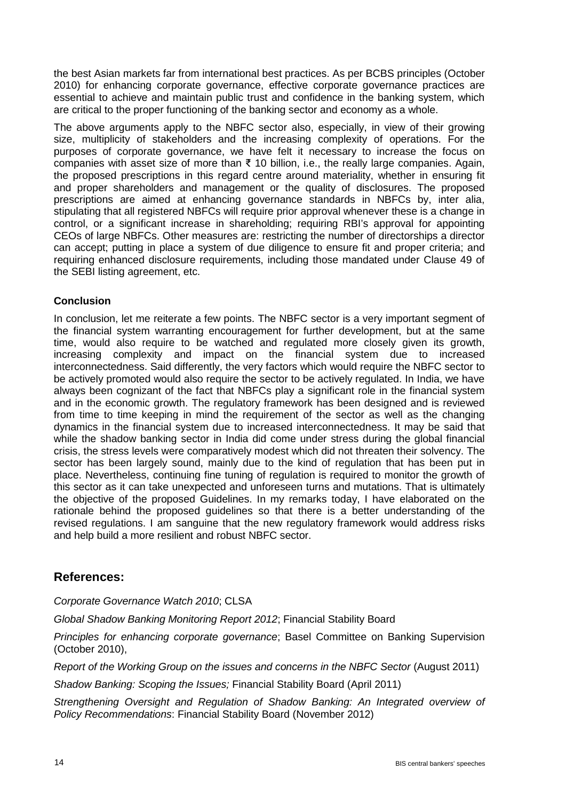the best Asian markets far from international best practices. As per BCBS principles (October 2010) for enhancing corporate governance, effective corporate governance practices are essential to achieve and maintain public trust and confidence in the banking system, which are critical to the proper functioning of the banking sector and economy as a whole.

The above arguments apply to the NBFC sector also, especially, in view of their growing size, multiplicity of stakeholders and the increasing complexity of operations. For the purposes of corporate governance, we have felt it necessary to increase the focus on companies with asset size of more than  $\bar{\tau}$  10 billion, i.e., the really large companies. Again, the proposed prescriptions in this regard centre around materiality, whether in ensuring fit and proper shareholders and management or the quality of disclosures. The proposed prescriptions are aimed at enhancing governance standards in NBFCs by, inter alia, stipulating that all registered NBFCs will require prior approval whenever these is a change in control, or a significant increase in shareholding; requiring RBI's approval for appointing CEOs of large NBFCs. Other measures are: restricting the number of directorships a director can accept; putting in place a system of due diligence to ensure fit and proper criteria; and requiring enhanced disclosure requirements, including those mandated under Clause 49 of the SEBI listing agreement, etc.

# **Conclusion**

In conclusion, let me reiterate a few points. The NBFC sector is a very important segment of the financial system warranting encouragement for further development, but at the same time, would also require to be watched and regulated more closely given its growth, increasing complexity and impact on the financial system due to increased interconnectedness. Said differently, the very factors which would require the NBFC sector to be actively promoted would also require the sector to be actively regulated. In India, we have always been cognizant of the fact that NBFCs play a significant role in the financial system and in the economic growth. The regulatory framework has been designed and is reviewed from time to time keeping in mind the requirement of the sector as well as the changing dynamics in the financial system due to increased interconnectedness. It may be said that while the shadow banking sector in India did come under stress during the global financial crisis, the stress levels were comparatively modest which did not threaten their solvency. The sector has been largely sound, mainly due to the kind of regulation that has been put in place. Nevertheless, continuing fine tuning of regulation is required to monitor the growth of this sector as it can take unexpected and unforeseen turns and mutations. That is ultimately the objective of the proposed Guidelines. In my remarks today, I have elaborated on the rationale behind the proposed guidelines so that there is a better understanding of the revised regulations. I am sanguine that the new regulatory framework would address risks and help build a more resilient and robust NBFC sector.

# **References:**

*Corporate Governance Watch 2010*; CLSA

*Global Shadow Banking Monitoring Report 2012*; Financial Stability Board

*Principles for enhancing corporate governance*; Basel Committee on Banking Supervision (October 2010),

*Report of the Working Group on the issues and concerns in the NBFC Sector* (August 2011)

*Shadow Banking: Scoping the Issues;* Financial Stability Board (April 2011)

*Strengthening Oversight and Regulation of Shadow Banking: An Integrated overview of Policy Recommendations*: Financial Stability Board (November 2012)